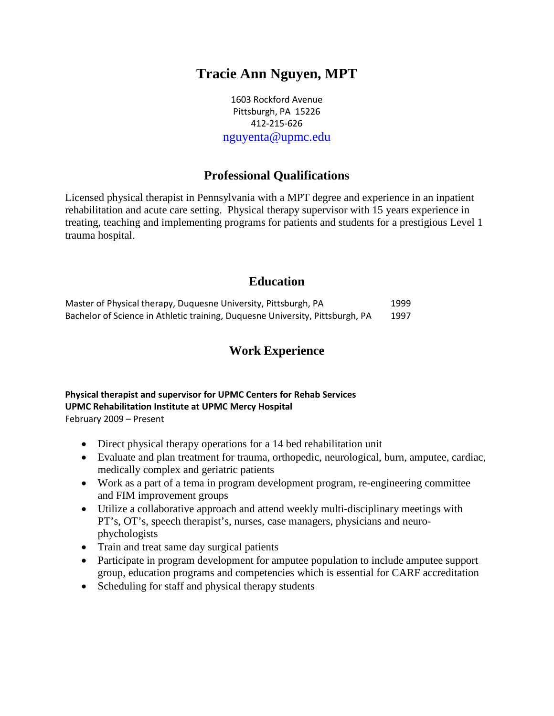# **Tracie Ann Nguyen, MPT**

1603 Rockford Avenue Pittsburgh, PA 15226 412-215-626 [nguyenta@upmc.edu](mailto:nguyenta@upmc.edu)

## **Professional Qualifications**

Licensed physical therapist in Pennsylvania with a MPT degree and experience in an inpatient rehabilitation and acute care setting. Physical therapy supervisor with 15 years experience in treating, teaching and implementing programs for patients and students for a prestigious Level 1 trauma hospital.

### **Education**

| Master of Physical therapy, Duquesne University, Pittsburgh, PA               | 1999 |
|-------------------------------------------------------------------------------|------|
| Bachelor of Science in Athletic training, Duquesne University, Pittsburgh, PA | 1997 |

### **Work Experience**

#### **Physical therapist and supervisor for UPMC Centers for Rehab Services UPMC Rehabilitation Institute at UPMC Mercy Hospital** February 2009 – Present

- Direct physical therapy operations for a 14 bed rehabilitation unit
- Evaluate and plan treatment for trauma, orthopedic, neurological, burn, amputee, cardiac, medically complex and geriatric patients
- Work as a part of a tema in program development program, re-engineering committee and FIM improvement groups
- Utilize a collaborative approach and attend weekly multi-disciplinary meetings with PT's, OT's, speech therapist's, nurses, case managers, physicians and neurophychologists
- Train and treat same day surgical patients
- Participate in program development for amputee population to include amputee support group, education programs and competencies which is essential for CARF accreditation
- Scheduling for staff and physical therapy students